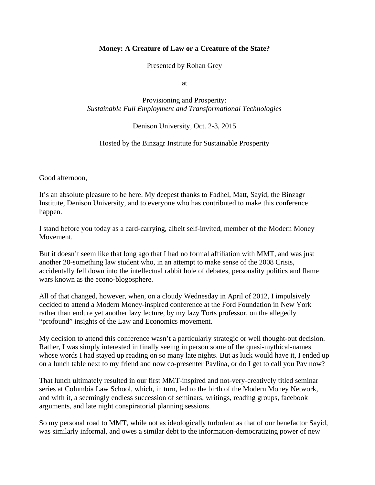## **Money: A Creature of Law or a Creature of the State?**

Presented by Rohan Grey

at

Provisioning and Prosperity: *Sustainable Full Employment and Transformational Technologies*

Denison University, Oct. 2-3, 2015

Hosted by the Binzagr Institute for Sustainable Prosperity

Good afternoon,

It's an absolute pleasure to be here. My deepest thanks to Fadhel, Matt, Sayid, the Binzagr Institute, Denison University, and to everyone who has contributed to make this conference happen.

I stand before you today as a card-carrying, albeit self-invited, member of the Modern Money Movement.

But it doesn't seem like that long ago that I had no formal affiliation with MMT, and was just another 20-something law student who, in an attempt to make sense of the 2008 Crisis, accidentally fell down into the intellectual rabbit hole of debates, personality politics and flame wars known as the econo-blogosphere.

All of that changed, however, when, on a cloudy Wednesday in April of 2012, I impulsively decided to attend a Modern Money-inspired conference at the Ford Foundation in New York rather than endure yet another lazy lecture, by my lazy Torts professor, on the allegedly "profound" insights of the Law and Economics movement.

My decision to attend this conference wasn't a particularly strategic or well thought-out decision. Rather, I was simply interested in finally seeing in person some of the quasi-mythical-names whose words I had stayed up reading on so many late nights. But as luck would have it, I ended up on a lunch table next to my friend and now co-presenter Pavlina, or do I get to call you Pav now?

That lunch ultimately resulted in our first MMT-inspired and not-very-creatively titled seminar series at Columbia Law School, which, in turn, led to the birth of the Modern Money Network, and with it, a seemingly endless succession of seminars, writings, reading groups, facebook arguments, and late night conspiratorial planning sessions.

So my personal road to MMT, while not as ideologically turbulent as that of our benefactor Sayid, was similarly informal, and owes a similar debt to the information-democratizing power of new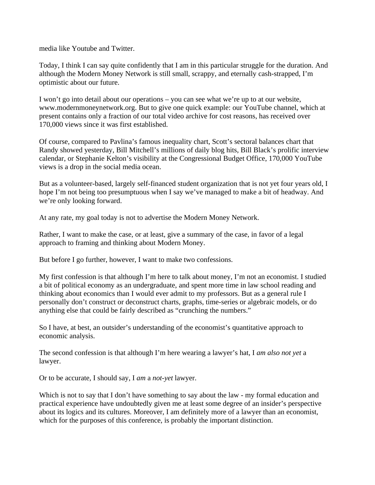media like Youtube and Twitter.

Today, I think I can say quite confidently that I am in this particular struggle for the duration. And although the Modern Money Network is still small, scrappy, and eternally cash-strapped, I'm optimistic about our future.

I won't go into detail about our operations – you can see what we're up to at our website, www.modernmoneynetwork.org. But to give one quick example: our YouTube channel, which at present contains only a fraction of our total video archive for cost reasons, has received over 170,000 views since it was first established.

Of course, compared to Pavlina's famous inequality chart, Scott's sectoral balances chart that Randy showed yesterday, Bill Mitchell's millions of daily blog hits, Bill Black's prolific interview calendar, or Stephanie Kelton's visibility at the Congressional Budget Office, 170,000 YouTube views is a drop in the social media ocean.

But as a volunteer-based, largely self-financed student organization that is not yet four years old, I hope I'm not being too presumptuous when I say we've managed to make a bit of headway. And we're only looking forward.

At any rate, my goal today is not to advertise the Modern Money Network.

Rather, I want to make the case, or at least, give a summary of the case, in favor of a legal approach to framing and thinking about Modern Money.

But before I go further, however, I want to make two confessions.

My first confession is that although I'm here to talk about money, I'm not an economist. I studied a bit of political economy as an undergraduate, and spent more time in law school reading and thinking about economics than I would ever admit to my professors. But as a general rule I personally don't construct or deconstruct charts, graphs, time-series or algebraic models, or do anything else that could be fairly described as "crunching the numbers."

So I have, at best, an outsider's understanding of the economist's quantitative approach to economic analysis.

The second confession is that although I'm here wearing a lawyer's hat, I *am also not yet* a lawyer.

Or to be accurate, I should say, I *am* a *not-yet* lawyer.

Which is not to say that I don't have something to say about the law - my formal education and practical experience have undoubtedly given me at least some degree of an insider's perspective about its logics and its cultures. Moreover, I am definitely more of a lawyer than an economist, which for the purposes of this conference, is probably the important distinction.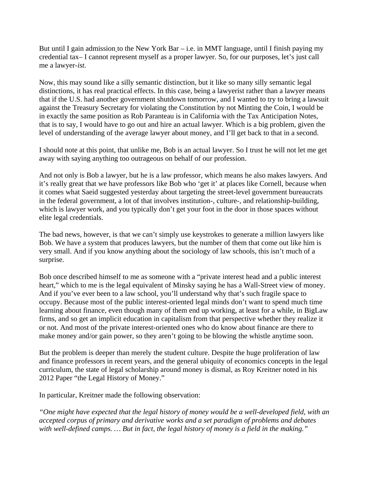But until I gain admission to the New York Bar  $-$  i.e. in MMT language, until I finish paying my credential tax– I cannot represent myself as a proper lawyer. So, for our purposes, let's just call me a lawyer-*ist*.

Now, this may sound like a silly semantic distinction, but it like so many silly semantic legal distinctions, it has real practical effects. In this case, being a lawyerist rather than a lawyer means that if the U.S. had another government shutdown tomorrow, and I wanted to try to bring a lawsuit against the Treasury Secretary for violating the Constitution by not Minting the Coin, I would be in exactly the same position as Rob Paranteau is in California with the Tax Anticipation Notes, that is to say, I would have to go out and hire an actual lawyer. Which is a big problem, given the level of understanding of the average lawyer about money, and I'll get back to that in a second.

I should note at this point, that unlike me, Bob is an actual lawyer. So I trust he will not let me get away with saying anything too outrageous on behalf of our profession.

And not only is Bob a lawyer, but he is a law professor, which means he also makes lawyers. And it's really great that we have professors like Bob who 'get it' at places like Cornell, because when it comes what Saeid suggested yesterday about targeting the street-level government bureaucrats in the federal government, a lot of that involves institution-, culture-, and relationship-building, which is lawyer work, and you typically don't get your foot in the door in those spaces without elite legal credentials.

The bad news, however, is that we can't simply use keystrokes to generate a million lawyers like Bob. We have a system that produces lawyers, but the number of them that come out like him is very small. And if you know anything about the sociology of law schools, this isn't much of a surprise.

Bob once described himself to me as someone with a "private interest head and a public interest heart," which to me is the legal equivalent of Minsky saying he has a Wall-Street view of money. And if you've ever been to a law school, you'll understand why that's such fragile space to occupy. Because most of the public interest-oriented legal minds don't want to spend much time learning about finance, even though many of them end up working, at least for a while, in BigLaw firms, and so get an implicit education in capitalism from that perspective whether they realize it or not. And most of the private interest-oriented ones who do know about finance are there to make money and/or gain power, so they aren't going to be blowing the whistle anytime soon.

But the problem is deeper than merely the student culture. Despite the huge proliferation of law and finance professors in recent years, and the general ubiquity of economics concepts in the legal curriculum, the state of legal scholarship around money is dismal, as Roy Kreitner noted in his 2012 Paper "the Legal History of Money."

In particular, Kreitner made the following observation:

*"One might have expected that the legal history of money would be a well-developed field, with an accepted corpus of primary and derivative works and a set paradigm of problems and debates with well-defined camps. … But in fact, the legal history of money is a field in the making."*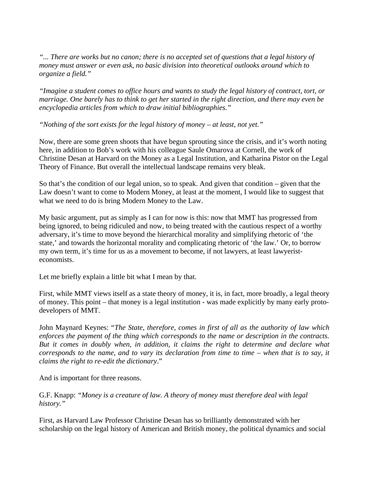*"... There are works but no canon; there is no accepted set of questions that a legal history of money must answer or even ask, no basic division into theoretical outlooks around which to organize a field."*

*"Imagine a student comes to office hours and wants to study the legal history of contract, tort, or marriage. One barely has to think to get her started in the right direction, and there may even be encyclopedia articles from which to draw initial bibliographies."*

*"Nothing of the sort exists for the legal history of money – at least, not yet."*

Now, there are some green shoots that have begun sprouting since the crisis, and it's worth noting here, in addition to Bob's work with his colleague Saule Omarova at Cornell, the work of Christine Desan at Harvard on the Money as a Legal Institution, and Katharina Pistor on the Legal Theory of Finance. But overall the intellectual landscape remains very bleak.

So that's the condition of our legal union, so to speak. And given that condition – given that the Law doesn't want to come to Modern Money, at least at the moment, I would like to suggest that what we need to do is bring Modern Money to the Law.

My basic argument, put as simply as I can for now is this: now that MMT has progressed from being ignored, to being ridiculed and now, to being treated with the cautious respect of a worthy adversary, it's time to move beyond the hierarchical morality and simplifying rhetoric of 'the state,' and towards the horizontal morality and complicating rhetoric of 'the law.' Or, to borrow my own term, it's time for us as a movement to become, if not lawyers, at least lawyeristeconomists.

Let me briefly explain a little bit what I mean by that.

First, while MMT views itself as a state theory of money, it is, in fact, more broadly, a legal theory of money. This point – that money is a legal institution - was made explicitly by many early protodevelopers of MMT.

John Maynard Keynes: "*The State, therefore, comes in first of all as the authority of law which enforces the payment of the thing which corresponds to the name or description in the contracts. But it comes in doubly when, in addition, it claims the right to determine and declare what corresponds to the name, and to vary its declaration from time to time – when that is to say, it claims the right to re-edit the dictionary*."

And is important for three reasons.

G.F. Knapp: *"Money is a creature of law. A theory of money must therefore deal with legal history."*

First, as Harvard Law Professor Christine Desan has so brilliantly demonstrated with her scholarship on the legal history of American and British money, the political dynamics and social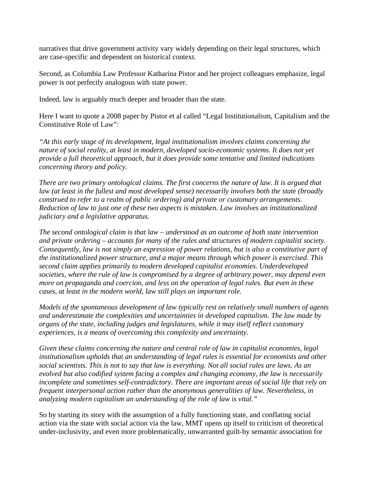narratives that drive government activity vary widely depending on their legal structures, which are case-specific and dependent on historical context.

Second, as Columbia Law Professor Katharina Pistor and her project colleagues emphasize, legal power is not perfectly analogous with state power.

Indeed, law is arguably much deeper and broader than the state.

Here I want to quote a 2008 paper by Pistor et al called "Legal Institutionalism, Capitalism and the Constitutive Role of Law":

*"At this early stage of its development, legal institutionalism involves claims concerning the nature of social reality, at least in modern, developed socio-economic systems. It does not yet provide a full theoretical approach, but it does provide some tentative and limited indications concerning theory and policy.*

*There are two primary ontological claims. The first concerns the nature of law. It is argued that law (at least in the fullest and most developed sense) necessarily involves both the state (broadly construed to refer to a realm of public ordering) and private or customary arrangements. Reduction of law to just one of these two aspects is mistaken. Law involves an institutionalized judiciary and a legislative apparatus.*

*The second ontological claim is that law – understood as an outcome of both state intervention and private ordering – accounts for many of the rules and structures of modern capitalist society. Consequently, law is not simply an expression of power relations, but is also a constitutive part of the institutionalized power structure, and a major means through which power is exercised. This second claim applies primarily to modern developed capitalist economies. Underdeveloped societies, where the rule of law is compromised by a degree of arbitrary power, may depend even more on propaganda and coercion, and less on the operation of legal rules. But even in these cases, at least in the modern world, law still plays an important role.*

*Models of the spontaneous development of law typically rest on relatively small numbers of agents and underestimate the complexities and uncertainties in developed capitalism. The law made by organs of the state, including judges and legislatures, while it may itself reflect customary experiences, is a means of overcoming this complexity and uncertainty.*

*Given these claims concerning the nature and central role of law in capitalist economies, legal institutionalism upholds that an understanding of legal rules is essential for economists and other social scientists. This is not to say that law is everything. Not all social rules are laws. As an evolved but also codified system facing a complex and changing economy, the law is necessarily incomplete and sometimes self-contradictory. There are important areas of social life that rely on frequent interpersonal action rather than the anonymous generalities of law. Nevertheless, in analyzing modern capitalism an understanding of the role of law is vital."*

So by starting its story with the assumption of a fully functioning state, and conflating social action via the state with social action via the law, MMT opens up itself to criticism of theoretical under-inclusivity, and even more problematically, unwarranted guilt-by semantic association for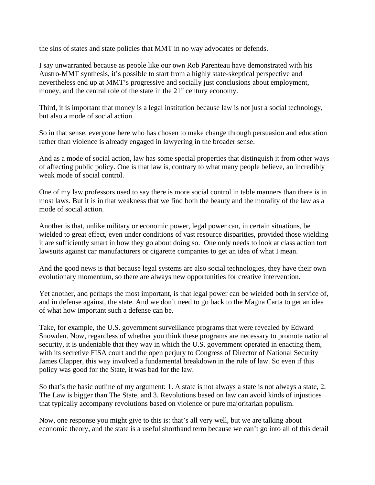the sins of states and state policies that MMT in no way advocates or defends.

I say unwarranted because as people like our own Rob Parenteau have demonstrated with his Austro-MMT synthesis, it's possible to start from a highly state-skeptical perspective and nevertheless end up at MMT's progressive and socially just conclusions about employment, money, and the central role of the state in the  $21<sup>st</sup>$  century economy.

Third, it is important that money is a legal institution because law is not just a social technology, but also a mode of social action.

So in that sense, everyone here who has chosen to make change through persuasion and education rather than violence is already engaged in lawyering in the broader sense.

And as a mode of social action, law has some special properties that distinguish it from other ways of affecting public policy. One is that law is, contrary to what many people believe, an incredibly weak mode of social control.

One of my law professors used to say there is more social control in table manners than there is in most laws. But it is in that weakness that we find both the beauty and the morality of the law as a mode of social action.

Another is that, unlike military or economic power, legal power can, in certain situations, be wielded to great effect, even under conditions of vast resource disparities, provided those wielding it are sufficiently smart in how they go about doing so. One only needs to look at class action tort lawsuits against car manufacturers or cigarette companies to get an idea of what I mean.

And the good news is that because legal systems are also social technologies, they have their own evolutionary momentum, so there are always new opportunities for creative intervention.

Yet another, and perhaps the most important, is that legal power can be wielded both in service of, and in defense against, the state. And we don't need to go back to the Magna Carta to get an idea of what how important such a defense can be.

Take, for example, the U.S. government surveillance programs that were revealed by Edward Snowden. Now, regardless of whether you think these programs are necessary to promote national security, it is undeniable that they way in which the U.S. government operated in enacting them, with its secretive FISA court and the open perjury to Congress of Director of National Security James Clapper, this way involved a fundamental breakdown in the rule of law. So even if this policy was good for the State, it was bad for the law.

So that's the basic outline of my argument: 1. A state is not always a state is not always a state, 2. The Law is bigger than The State, and 3. Revolutions based on law can avoid kinds of injustices that typically accompany revolutions based on violence or pure majoritarian populism.

Now, one response you might give to this is: that's all very well, but we are talking about economic theory, and the state is a useful shorthand term because we can't go into all of this detail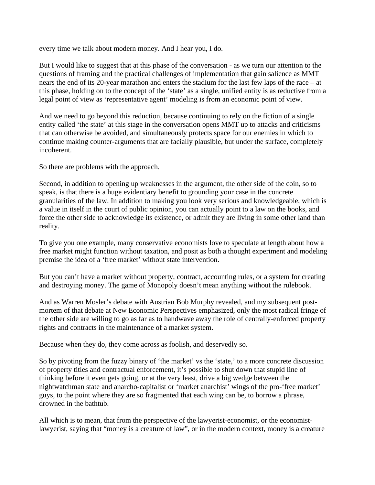every time we talk about modern money. And I hear you, I do.

But I would like to suggest that at this phase of the conversation - as we turn our attention to the questions of framing and the practical challenges of implementation that gain salience as MMT nears the end of its 20-year marathon and enters the stadium for the last few laps of the race – at this phase, holding on to the concept of the 'state' as a single, unified entity is as reductive from a legal point of view as 'representative agent' modeling is from an economic point of view.

And we need to go beyond this reduction, because continuing to rely on the fiction of a single entity called 'the state' at this stage in the conversation opens MMT up to attacks and criticisms that can otherwise be avoided, and simultaneously protects space for our enemies in which to continue making counter-arguments that are facially plausible, but under the surface, completely incoherent.

So there are problems with the approach.

Second, in addition to opening up weaknesses in the argument, the other side of the coin, so to speak, is that there is a huge evidentiary benefit to grounding your case in the concrete granularities of the law. In addition to making you look very serious and knowledgeable, which is a value in itself in the court of public opinion, you can actually point to a law on the books, and force the other side to acknowledge its existence, or admit they are living in some other land than reality.

To give you one example, many conservative economists love to speculate at length about how a free market might function without taxation, and posit as both a thought experiment and modeling premise the idea of a 'free market' without state intervention.

But you can't have a market without property, contract, accounting rules, or a system for creating and destroying money. The game of Monopoly doesn't mean anything without the rulebook.

And as Warren Mosler's debate with Austrian Bob Murphy revealed, and my subsequent postmortem of that debate at New Economic Perspectives emphasized, only the most radical fringe of the other side are willing to go as far as to handwave away the role of centrally-enforced property rights and contracts in the maintenance of a market system.

Because when they do, they come across as foolish, and deservedly so.

So by pivoting from the fuzzy binary of 'the market' vs the 'state,' to a more concrete discussion of property titles and contractual enforcement, it's possible to shut down that stupid line of thinking before it even gets going, or at the very least, drive a big wedge between the nightwatchman state and anarcho-capitalist or 'market anarchist' wings of the pro-'free market' guys, to the point where they are so fragmented that each wing can be, to borrow a phrase, drowned in the bathtub.

All which is to mean, that from the perspective of the lawyerist-economist, or the economistlawyerist, saying that "money is a creature of law", or in the modern context, money is a creature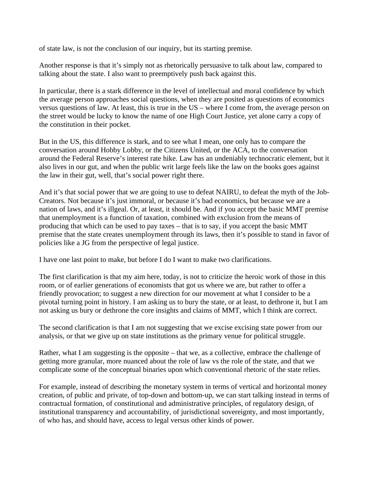of state law, is not the conclusion of our inquiry, but its starting premise.

Another response is that it's simply not as rhetorically persuasive to talk about law, compared to talking about the state. I also want to preemptively push back against this.

In particular, there is a stark difference in the level of intellectual and moral confidence by which the average person approaches social questions, when they are posited as questions of economics versus questions of law. At least, this is true in the US – where I come from, the average person on the street would be lucky to know the name of one High Court Justice, yet alone carry a copy of the constitution in their pocket.

But in the US, this difference is stark, and to see what I mean, one only has to compare the conversation around Hobby Lobby, or the Citizens United, or the ACA, to the conversation around the Federal Reserve's interest rate hike. Law has an undeniably technocratic element, but it also lives in our gut, and when the public writ large feels like the law on the books goes against the law in their gut, well, that's social power right there.

And it's that social power that we are going to use to defeat NAIRU, to defeat the myth of the Job-Creators. Not because it's just immoral, or because it's bad economics, but because we are a nation of laws, and it's illgeal. Or, at least, it should be. And if you accept the basic MMT premise that unemployment is a function of taxation, combined with exclusion from the means of producing that which can be used to pay taxes – that is to say, if you accept the basic MMT premise that the state creates unemployment through its laws, then it's possible to stand in favor of policies like a JG from the perspective of legal justice.

I have one last point to make, but before I do I want to make two clarifications.

The first clarification is that my aim here, today, is not to criticize the heroic work of those in this room, or of earlier generations of economists that got us where we are, but rather to offer a friendly provocation; to suggest a new direction for our movement at what I consider to be a pivotal turning point in history. I am asking us to bury the state, or at least, to dethrone it, but I am not asking us bury or dethrone the core insights and claims of MMT, which I think are correct.

The second clarification is that I am not suggesting that we excise excising state power from our analysis, or that we give up on state institutions as the primary venue for political struggle.

Rather, what I am suggesting is the opposite – that we, as a collective, embrace the challenge of getting more granular, more nuanced about the role of law vs the role of the state, and that we complicate some of the conceptual binaries upon which conventional rhetoric of the state relies.

For example, instead of describing the monetary system in terms of vertical and horizontal money creation, of public and private, of top-down and bottom-up, we can start talking instead in terms of contractual formation, of constitutional and administrative principles, of regulatory design, of institutional transparency and accountability, of jurisdictional sovereignty, and most importantly, of who has, and should have, access to legal versus other kinds of power.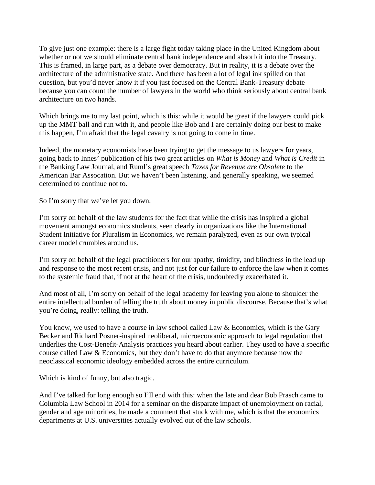To give just one example: there is a large fight today taking place in the United Kingdom about whether or not we should eliminate central bank independence and absorb it into the Treasury. This is framed, in large part, as a debate over democracy. But in reality, it is a debate over the architecture of the administrative state. And there has been a lot of legal ink spilled on that question, but you'd never know it if you just focused on the Central Bank-Treasury debate because you can count the number of lawyers in the world who think seriously about central bank architecture on two hands.

Which brings me to my last point, which is this: while it would be great if the lawyers could pick up the MMT ball and run with it, and people like Bob and I are certainly doing our best to make this happen, I'm afraid that the legal cavalry is not going to come in time.

Indeed, the monetary economists have been trying to get the message to us lawyers for years, going back to Innes' publication of his two great articles on *What is Money* and *What is Credit* in the Banking Law Journal, and Ruml's great speech *Taxes for Revenue are Obsolete* to the American Bar Assocation. But we haven't been listening, and generally speaking, we seemed determined to continue not to.

So I'm sorry that we've let you down.

I'm sorry on behalf of the law students for the fact that while the crisis has inspired a global movement amongst economics students, seen clearly in organizations like the International Student Initiative for Pluralism in Economics, we remain paralyzed, even as our own typical career model crumbles around us.

I'm sorry on behalf of the legal practitioners for our apathy, timidity, and blindness in the lead up and response to the most recent crisis, and not just for our failure to enforce the law when it comes to the systemic fraud that, if not at the heart of the crisis, undoubtedly exacerbated it.

And most of all, I'm sorry on behalf of the legal academy for leaving you alone to shoulder the entire intellectual burden of telling the truth about money in public discourse. Because that's what you're doing, really: telling the truth.

You know, we used to have a course in law school called Law & Economics, which is the Gary Becker and Richard Posner-inspired neoliberal, microeconomic approach to legal regulation that underlies the Cost-Benefit-Analysis practices you heard about earlier. They used to have a specific course called Law & Economics, but they don't have to do that anymore because now the neoclassical economic ideology embedded across the entire curriculum.

Which is kind of funny, but also tragic.

And I've talked for long enough so I'll end with this: when the late and dear Bob Prasch came to Columbia Law School in 2014 for a seminar on the disparate impact of unemployment on racial, gender and age minorities, he made a comment that stuck with me, which is that the economics departments at U.S. universities actually evolved out of the law schools.